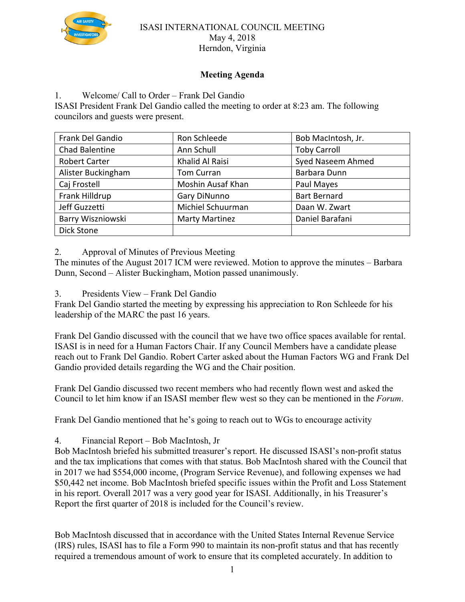

#### ISASI INTERNATIONAL COUNCIL MEETING May 4, 2018 Herndon, Virginia

# **Meeting Agenda**

1. Welcome/ Call to Order – Frank Del Gandio

ISASI President Frank Del Gandio called the meeting to order at 8:23 am. The following councilors and guests were present.

| Frank Del Gandio     | Ron Schleede          | Bob MacIntosh, Jr.  |
|----------------------|-----------------------|---------------------|
| Chad Balentine       | Ann Schull            | <b>Toby Carroll</b> |
| <b>Robert Carter</b> | Khalid Al Raisi       | Syed Naseem Ahmed   |
| Alister Buckingham   | <b>Tom Curran</b>     | Barbara Dunn        |
| Caj Frostell         | Moshin Ausaf Khan     | Paul Mayes          |
| Frank Hilldrup       | Gary DiNunno          | <b>Bart Bernard</b> |
| Jeff Guzzetti        | Michiel Schuurman     | Daan W. Zwart       |
| Barry Wiszniowski    | <b>Marty Martinez</b> | Daniel Barafani     |
| Dick Stone           |                       |                     |

2. Approval of Minutes of Previous Meeting

The minutes of the August 2017 ICM were reviewed. Motion to approve the minutes – Barbara Dunn, Second – Alister Buckingham, Motion passed unanimously.

3. Presidents View – Frank Del Gandio

Frank Del Gandio started the meeting by expressing his appreciation to Ron Schleede for his leadership of the MARC the past 16 years.

Frank Del Gandio discussed with the council that we have two office spaces available for rental. ISASI is in need for a Human Factors Chair. If any Council Members have a candidate please reach out to Frank Del Gandio. Robert Carter asked about the Human Factors WG and Frank Del Gandio provided details regarding the WG and the Chair position.

Frank Del Gandio discussed two recent members who had recently flown west and asked the Council to let him know if an ISASI member flew west so they can be mentioned in the *Forum*.

Frank Del Gandio mentioned that he's going to reach out to WGs to encourage activity

4. Financial Report – Bob MacIntosh, Jr

Bob MacIntosh briefed his submitted treasurer's report. He discussed ISASI's non-profit status and the tax implications that comes with that status. Bob MacIntosh shared with the Council that in 2017 we had \$554,000 income, (Program Service Revenue), and following expenses we had \$50,442 net income. Bob MacIntosh briefed specific issues within the Profit and Loss Statement in his report. Overall 2017 was a very good year for ISASI. Additionally, in his Treasurer's Report the first quarter of 2018 is included for the Council's review.

Bob MacIntosh discussed that in accordance with the United States Internal Revenue Service (IRS) rules, ISASI has to file a Form 990 to maintain its non-profit status and that has recently required a tremendous amount of work to ensure that its completed accurately. In addition to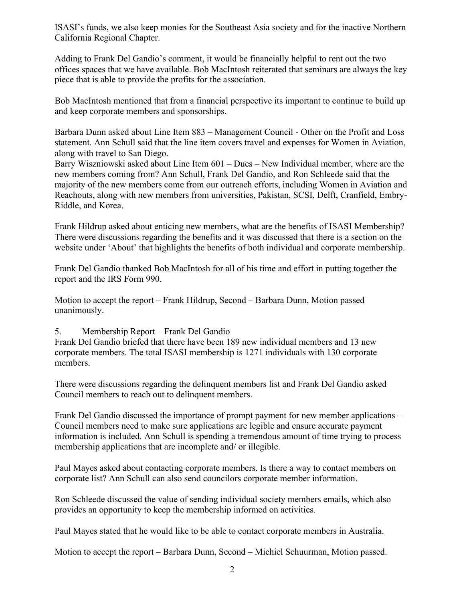ISASI's funds, we also keep monies for the Southeast Asia society and for the inactive Northern California Regional Chapter.

Adding to Frank Del Gandio's comment, it would be financially helpful to rent out the two offices spaces that we have available. Bob MacIntosh reiterated that seminars are always the key piece that is able to provide the profits for the association.

Bob MacIntosh mentioned that from a financial perspective its important to continue to build up and keep corporate members and sponsorships.

Barbara Dunn asked about Line Item 883 – Management Council - Other on the Profit and Loss statement. Ann Schull said that the line item covers travel and expenses for Women in Aviation, along with travel to San Diego.

Barry Wiszniowski asked about Line Item 601 – Dues – New Individual member, where are the new members coming from? Ann Schull, Frank Del Gandio, and Ron Schleede said that the majority of the new members come from our outreach efforts, including Women in Aviation and Reachouts, along with new members from universities, Pakistan, SCSI, Delft, Cranfield, Embry-Riddle, and Korea.

Frank Hildrup asked about enticing new members, what are the benefits of ISASI Membership? There were discussions regarding the benefits and it was discussed that there is a section on the website under 'About' that highlights the benefits of both individual and corporate membership.

Frank Del Gandio thanked Bob MacIntosh for all of his time and effort in putting together the report and the IRS Form 990.

Motion to accept the report – Frank Hildrup, Second – Barbara Dunn, Motion passed unanimously.

## 5. Membership Report – Frank Del Gandio

Frank Del Gandio briefed that there have been 189 new individual members and 13 new corporate members. The total ISASI membership is 1271 individuals with 130 corporate members.

There were discussions regarding the delinquent members list and Frank Del Gandio asked Council members to reach out to delinquent members.

Frank Del Gandio discussed the importance of prompt payment for new member applications – Council members need to make sure applications are legible and ensure accurate payment information is included. Ann Schull is spending a tremendous amount of time trying to process membership applications that are incomplete and/ or illegible.

Paul Mayes asked about contacting corporate members. Is there a way to contact members on corporate list? Ann Schull can also send councilors corporate member information.

Ron Schleede discussed the value of sending individual society members emails, which also provides an opportunity to keep the membership informed on activities.

Paul Mayes stated that he would like to be able to contact corporate members in Australia.

Motion to accept the report – Barbara Dunn, Second – Michiel Schuurman, Motion passed.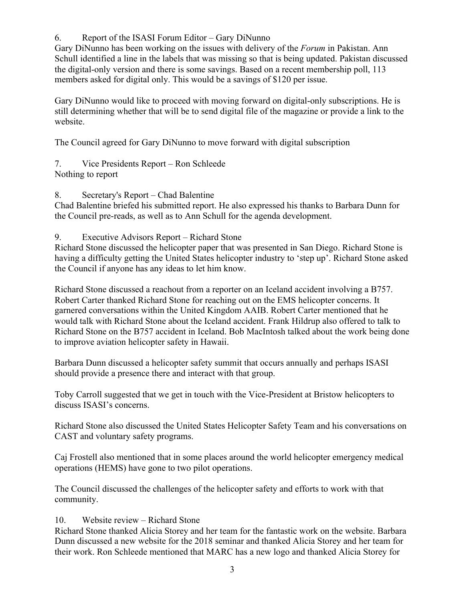6. Report of the ISASI Forum Editor – Gary DiNunno

Gary DiNunno has been working on the issues with delivery of the *Forum* in Pakistan. Ann Schull identified a line in the labels that was missing so that is being updated. Pakistan discussed the digital-only version and there is some savings. Based on a recent membership poll, 113 members asked for digital only. This would be a savings of \$120 per issue.

Gary DiNunno would like to proceed with moving forward on digital-only subscriptions. He is still determining whether that will be to send digital file of the magazine or provide a link to the website.

The Council agreed for Gary DiNunno to move forward with digital subscription

7. Vice Presidents Report – Ron Schleede Nothing to report

8. Secretary's Report – Chad Balentine

Chad Balentine briefed his submitted report. He also expressed his thanks to Barbara Dunn for the Council pre-reads, as well as to Ann Schull for the agenda development.

#### 9. Executive Advisors Report – Richard Stone

Richard Stone discussed the helicopter paper that was presented in San Diego. Richard Stone is having a difficulty getting the United States helicopter industry to 'step up'. Richard Stone asked the Council if anyone has any ideas to let him know.

Richard Stone discussed a reachout from a reporter on an Iceland accident involving a B757. Robert Carter thanked Richard Stone for reaching out on the EMS helicopter concerns. It garnered conversations within the United Kingdom AAIB. Robert Carter mentioned that he would talk with Richard Stone about the Iceland accident. Frank Hildrup also offered to talk to Richard Stone on the B757 accident in Iceland. Bob MacIntosh talked about the work being done to improve aviation helicopter safety in Hawaii.

Barbara Dunn discussed a helicopter safety summit that occurs annually and perhaps ISASI should provide a presence there and interact with that group.

Toby Carroll suggested that we get in touch with the Vice-President at Bristow helicopters to discuss ISASI's concerns.

Richard Stone also discussed the United States Helicopter Safety Team and his conversations on CAST and voluntary safety programs.

Caj Frostell also mentioned that in some places around the world helicopter emergency medical operations (HEMS) have gone to two pilot operations.

The Council discussed the challenges of the helicopter safety and efforts to work with that community.

## 10. Website review – Richard Stone

Richard Stone thanked Alicia Storey and her team for the fantastic work on the website. Barbara Dunn discussed a new website for the 2018 seminar and thanked Alicia Storey and her team for their work. Ron Schleede mentioned that MARC has a new logo and thanked Alicia Storey for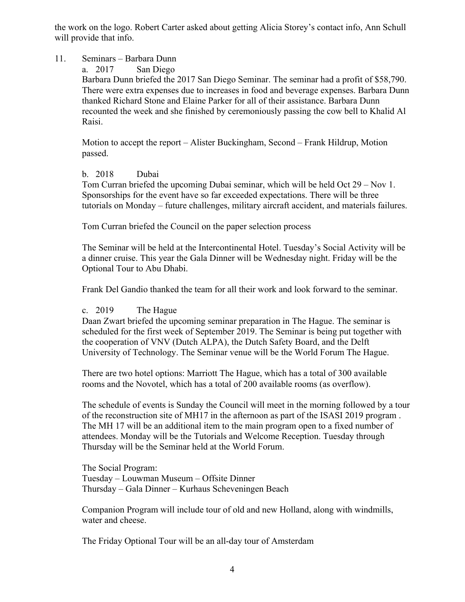the work on the logo. Robert Carter asked about getting Alicia Storey's contact info, Ann Schull will provide that info.

#### 11. Seminars – Barbara Dunn

a. 2017 San Diego

Barbara Dunn briefed the 2017 San Diego Seminar. The seminar had a profit of \$58,790. There were extra expenses due to increases in food and beverage expenses. Barbara Dunn thanked Richard Stone and Elaine Parker for all of their assistance. Barbara Dunn recounted the week and she finished by ceremoniously passing the cow bell to Khalid Al Raisi.

Motion to accept the report – Alister Buckingham, Second – Frank Hildrup, Motion passed.

#### b. 2018 Dubai

Tom Curran briefed the upcoming Dubai seminar, which will be held Oct 29 – Nov 1. Sponsorships for the event have so far exceeded expectations. There will be three tutorials on Monday – future challenges, military aircraft accident, and materials failures.

Tom Curran briefed the Council on the paper selection process

The Seminar will be held at the Intercontinental Hotel. Tuesday's Social Activity will be a dinner cruise. This year the Gala Dinner will be Wednesday night. Friday will be the Optional Tour to Abu Dhabi.

Frank Del Gandio thanked the team for all their work and look forward to the seminar.

## c. 2019 The Hague

Daan Zwart briefed the upcoming seminar preparation in The Hague. The seminar is scheduled for the first week of September 2019. The Seminar is being put together with the cooperation of VNV (Dutch ALPA), the Dutch Safety Board, and the Delft University of Technology. The Seminar venue will be the World Forum The Hague.

There are two hotel options: Marriott The Hague, which has a total of 300 available rooms and the Novotel, which has a total of 200 available rooms (as overflow).

The schedule of events is Sunday the Council will meet in the morning followed by a tour of the reconstruction site of MH17 in the afternoon as part of the ISASI 2019 program . The MH 17 will be an additional item to the main program open to a fixed number of attendees. Monday will be the Tutorials and Welcome Reception. Tuesday through Thursday will be the Seminar held at the World Forum.

The Social Program: Tuesday – Louwman Museum – Offsite Dinner Thursday – Gala Dinner – Kurhaus Scheveningen Beach

Companion Program will include tour of old and new Holland, along with windmills, water and cheese.

The Friday Optional Tour will be an all-day tour of Amsterdam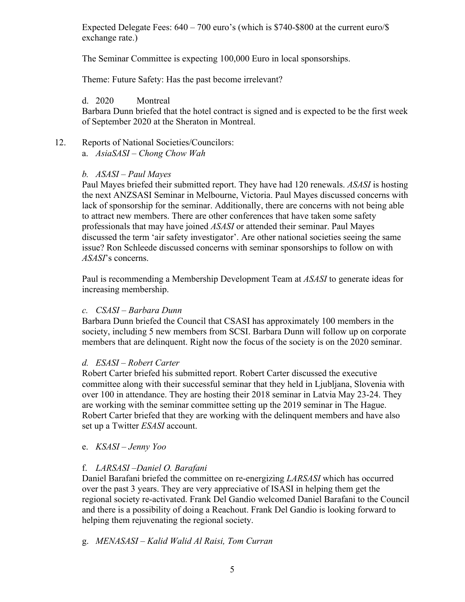Expected Delegate Fees: 640 – 700 euro's (which is \$740-\$800 at the current euro/\$ exchange rate.)

The Seminar Committee is expecting 100,000 Euro in local sponsorships.

Theme: Future Safety: Has the past become irrelevant?

# d. 2020 Montreal

Barbara Dunn briefed that the hotel contract is signed and is expected to be the first week of September 2020 at the Sheraton in Montreal.

12. Reports of National Societies/Councilors: a. *AsiaSASI – Chong Chow Wah*

## *b. ASASI – Paul Mayes*

Paul Mayes briefed their submitted report. They have had 120 renewals. *ASASI* is hosting the next ANZSASI Seminar in Melbourne, Victoria. Paul Mayes discussed concerns with lack of sponsorship for the seminar. Additionally, there are concerns with not being able to attract new members. There are other conferences that have taken some safety professionals that may have joined *ASASI* or attended their seminar. Paul Mayes discussed the term 'air safety investigator'. Are other national societies seeing the same issue? Ron Schleede discussed concerns with seminar sponsorships to follow on with *ASASI*'s concerns.

Paul is recommending a Membership Development Team at *ASASI* to generate ideas for increasing membership.

## *c. CSASI – Barbara Dunn*

Barbara Dunn briefed the Council that CSASI has approximately 100 members in the society, including 5 new members from SCSI. Barbara Dunn will follow up on corporate members that are delinquent. Right now the focus of the society is on the 2020 seminar.

## *d. ESASI – Robert Carter*

Robert Carter briefed his submitted report. Robert Carter discussed the executive committee along with their successful seminar that they held in Ljubljana, Slovenia with over 100 in attendance. They are hosting their 2018 seminar in Latvia May 23-24. They are working with the seminar committee setting up the 2019 seminar in The Hague. Robert Carter briefed that they are working with the delinquent members and have also set up a Twitter *ESASI* account.

## e. *KSASI – Jenny Yoo*

# f. *LARSASI* –*Daniel O. Barafani*

Daniel Barafani briefed the committee on re-energizing *LARSASI* which has occurred over the past 3 years. They are very appreciative of ISASI in helping them get the regional society re-activated. Frank Del Gandio welcomed Daniel Barafani to the Council and there is a possibility of doing a Reachout. Frank Del Gandio is looking forward to helping them rejuvenating the regional society.

## g. *MENASASI – Kalid Walid Al Raisi, Tom Curran*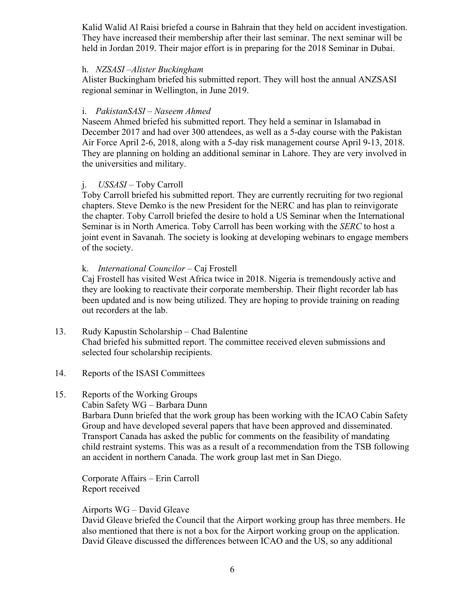Kalid Walid Al Raisi briefed a course in Bahrain that they held on accident investigation. They have increased their membership after their last seminar. The next seminar will be held in Jordan 2019. Their major effort is in preparing for the 2018 Seminar in Dubai.

#### h. *NZSASI –Alister Buckingham*

Alister Buckingham briefed his submitted report. They will host the annual ANZSASI regional seminar in Wellington, in June 2019.

## i. *PakistanSASI* – *Naseem Ahmed*

Naseem Ahmed briefed his submitted report. They held a seminar in Islamabad in December 2017 and had over 300 attendees, as well as a 5-day course with the Pakistan Air Force April 2-6, 2018, along with a 5-day risk management course April 9-13, 2018. They are planning on holding an additional seminar in Lahore. They are very involved in the universities and military.

# j. *USSASI* – Toby Carroll

Toby Carroll briefed his submitted report. They are currently recruiting for two regional chapters. Steve Demko is the new President for the NERC and has plan to reinvigorate the chapter. Toby Carroll briefed the desire to hold a US Seminar when the International Seminar is in North America. Toby Carroll has been working with the *SERC* to host a joint event in Savanah. The society is looking at developing webinars to engage members of the society.

## k. *International Councilor –* Caj Frostell

Caj Frostell has visited West Africa twice in 2018. Nigeria is tremendously active and they are looking to reactivate their corporate membership. Their flight recorder lab has been updated and is now being utilized. They are hoping to provide training on reading out recorders at the lab.

- 13. Rudy Kapustin Scholarship Chad Balentine Chad briefed his submitted report. The committee received eleven submissions and selected four scholarship recipients.
- 14. Reports of the ISASI Committees

## 15. Reports of the Working Groups

Cabin Safety WG – Barbara Dunn

Barbara Dunn briefed that the work group has been working with the ICAO Cabin Safety Group and have developed several papers that have been approved and disseminated. Transport Canada has asked the public for comments on the feasibility of mandating child restraint systems. This was as a result of a recommendation from the TSB following an accident in northern Canada. The work group last met in San Diego.

Corporate Affairs – Erin Carroll Report received

#### Airports WG – David Gleave

David Gleave briefed the Council that the Airport working group has three members. He also mentioned that there is not a box for the Airport working group on the application. David Gleave discussed the differences between ICAO and the US, so any additional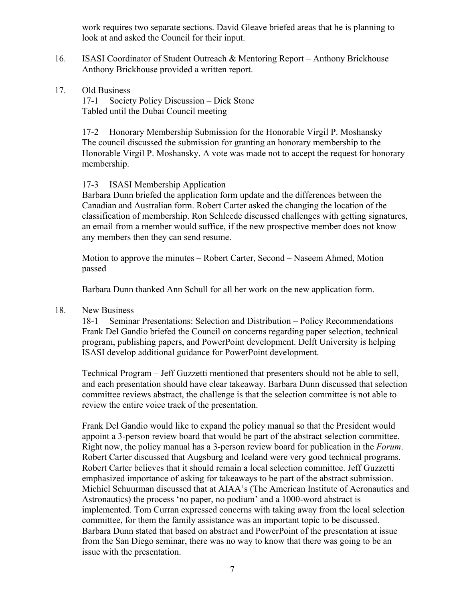work requires two separate sections. David Gleave briefed areas that he is planning to look at and asked the Council for their input.

- 16. ISASI Coordinator of Student Outreach & Mentoring Report Anthony Brickhouse Anthony Brickhouse provided a written report.
- 17. Old Business

17-1 Society Policy Discussion – Dick Stone Tabled until the Dubai Council meeting

17-2 Honorary Membership Submission for the Honorable Virgil P. Moshansky The council discussed the submission for granting an honorary membership to the Honorable Virgil P. Moshansky. A vote was made not to accept the request for honorary membership.

#### 17-3 ISASI Membership Application

Barbara Dunn briefed the application form update and the differences between the Canadian and Australian form. Robert Carter asked the changing the location of the classification of membership. Ron Schleede discussed challenges with getting signatures, an email from a member would suffice, if the new prospective member does not know any members then they can send resume.

Motion to approve the minutes – Robert Carter, Second – Naseem Ahmed, Motion passed

Barbara Dunn thanked Ann Schull for all her work on the new application form.

#### 18. New Business

18-1 Seminar Presentations: Selection and Distribution – Policy Recommendations Frank Del Gandio briefed the Council on concerns regarding paper selection, technical program, publishing papers, and PowerPoint development. Delft University is helping ISASI develop additional guidance for PowerPoint development.

Technical Program – Jeff Guzzetti mentioned that presenters should not be able to sell, and each presentation should have clear takeaway. Barbara Dunn discussed that selection committee reviews abstract, the challenge is that the selection committee is not able to review the entire voice track of the presentation.

Frank Del Gandio would like to expand the policy manual so that the President would appoint a 3-person review board that would be part of the abstract selection committee. Right now, the policy manual has a 3-person review board for publication in the *Forum*. Robert Carter discussed that Augsburg and Iceland were very good technical programs. Robert Carter believes that it should remain a local selection committee. Jeff Guzzetti emphasized importance of asking for takeaways to be part of the abstract submission. Michiel Schuurman discussed that at AIAA's (The American Institute of Aeronautics and Astronautics) the process 'no paper, no podium' and a 1000-word abstract is implemented. Tom Curran expressed concerns with taking away from the local selection committee, for them the family assistance was an important topic to be discussed. Barbara Dunn stated that based on abstract and PowerPoint of the presentation at issue from the San Diego seminar, there was no way to know that there was going to be an issue with the presentation.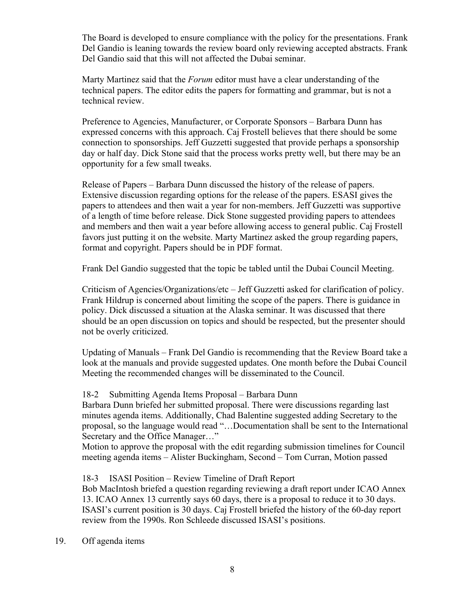The Board is developed to ensure compliance with the policy for the presentations. Frank Del Gandio is leaning towards the review board only reviewing accepted abstracts. Frank Del Gandio said that this will not affected the Dubai seminar.

Marty Martinez said that the *Forum* editor must have a clear understanding of the technical papers. The editor edits the papers for formatting and grammar, but is not a technical review.

Preference to Agencies, Manufacturer, or Corporate Sponsors – Barbara Dunn has expressed concerns with this approach. Caj Frostell believes that there should be some connection to sponsorships. Jeff Guzzetti suggested that provide perhaps a sponsorship day or half day. Dick Stone said that the process works pretty well, but there may be an opportunity for a few small tweaks.

Release of Papers – Barbara Dunn discussed the history of the release of papers. Extensive discussion regarding options for the release of the papers. ESASI gives the papers to attendees and then wait a year for non-members. Jeff Guzzetti was supportive of a length of time before release. Dick Stone suggested providing papers to attendees and members and then wait a year before allowing access to general public. Caj Frostell favors just putting it on the website. Marty Martinez asked the group regarding papers, format and copyright. Papers should be in PDF format.

Frank Del Gandio suggested that the topic be tabled until the Dubai Council Meeting.

Criticism of Agencies/Organizations/etc – Jeff Guzzetti asked for clarification of policy. Frank Hildrup is concerned about limiting the scope of the papers. There is guidance in policy. Dick discussed a situation at the Alaska seminar. It was discussed that there should be an open discussion on topics and should be respected, but the presenter should not be overly criticized.

Updating of Manuals – Frank Del Gandio is recommending that the Review Board take a look at the manuals and provide suggested updates. One month before the Dubai Council Meeting the recommended changes will be disseminated to the Council.

## 18-2 Submitting Agenda Items Proposal – Barbara Dunn

Barbara Dunn briefed her submitted proposal. There were discussions regarding last minutes agenda items. Additionally, Chad Balentine suggested adding Secretary to the proposal, so the language would read "…Documentation shall be sent to the International Secretary and the Office Manager…"

Motion to approve the proposal with the edit regarding submission timelines for Council meeting agenda items – Alister Buckingham, Second – Tom Curran, Motion passed

## 18-3 ISASI Position – Review Timeline of Draft Report

Bob MacIntosh briefed a question regarding reviewing a draft report under ICAO Annex 13. ICAO Annex 13 currently says 60 days, there is a proposal to reduce it to 30 days. ISASI's current position is 30 days. Caj Frostell briefed the history of the 60-day report review from the 1990s. Ron Schleede discussed ISASI's positions.

19. Off agenda items